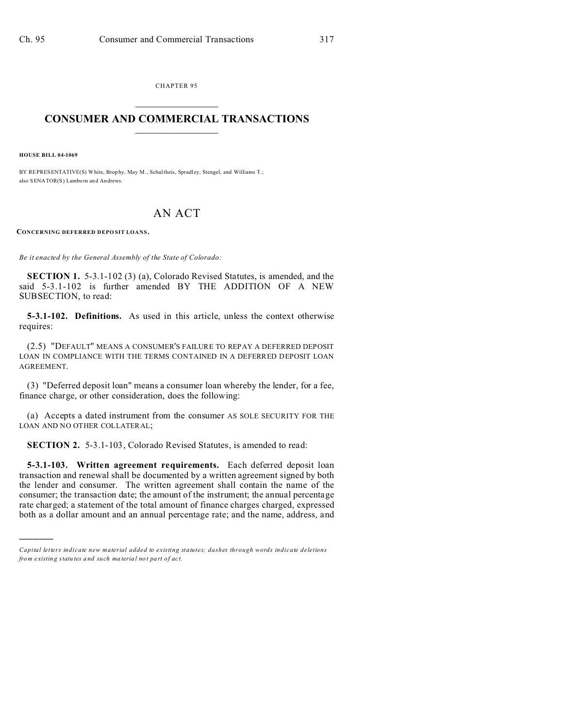CHAPTER 95  $\overline{\phantom{a}}$  , where  $\overline{\phantom{a}}$ 

## **CONSUMER AND COMMERCIAL TRANSACTIONS**  $\_$   $\_$   $\_$   $\_$   $\_$   $\_$   $\_$   $\_$

**HOUSE BILL 04-1069**

)))))

BY REPRESENTATIVE(S) White, Brophy, May M., Schultheis, Spradley, Stengel, and Williams T.; also SENATOR(S) Lamborn and Andrews.

## AN ACT

**CONCERNING DEFERRED DEPO SIT LOANS.**

*Be it enacted by the General Assembly of the State of Colorado:*

**SECTION 1.** 5-3.1-102 (3) (a), Colorado Revised Statutes, is amended, and the said 5-3.1-102 is further amended BY THE ADDITION OF A NEW SUBSECTION, to read:

**5-3.1-102. Definitions.** As used in this article, unless the context otherwise requires:

(2.5) "DEFAULT" MEANS A CONSUMER'S FAILURE TO REPAY A DEFERRED DEPOSIT LOAN IN COMPLIANCE WITH THE TERMS CONTAINED IN A DEFERRED DEPOSIT LOAN AGREEMENT.

(3) "Deferred deposit loan" means a consumer loan whereby the lender, for a fee, finance charge, or other consideration, does the following:

(a) Accepts a dated instrument from the consumer AS SOLE SECURITY FOR THE LOAN AND NO OTHER COLLATERAL;

**SECTION 2.** 5-3.1-103, Colorado Revised Statutes, is amended to read:

**5-3.1-103. Written agreement requirements.** Each deferred deposit loan transaction and renewal shall be documented by a written agreement signed by both the lender and consumer. The written agreement shall contain the name of the consumer; the transaction date; the amount of the instrument; the annual percentage rate charged; a statement of the total amount of finance charges charged, expressed both as a dollar amount and an annual percentage rate; and the name, address, and

*Capital letters indicate new material added to existing statutes; dashes through words indicate deletions from e xistin g statu tes a nd such ma teria l no t pa rt of ac t.*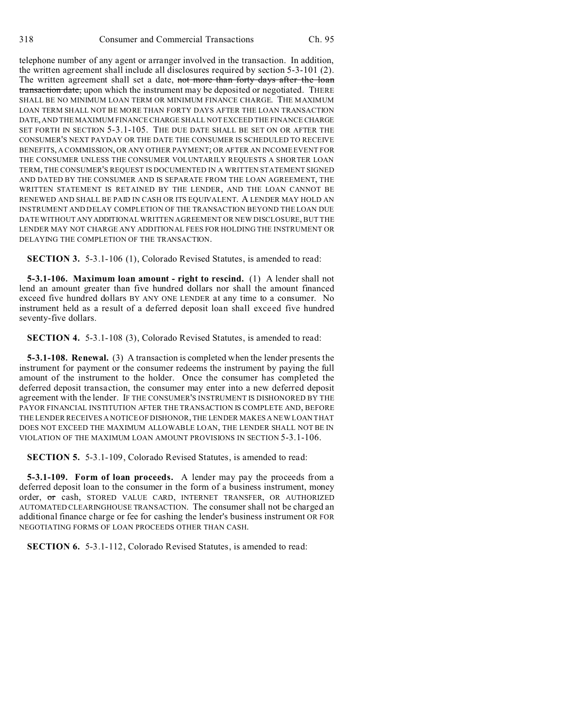telephone number of any agent or arranger involved in the transaction. In addition, the written agreement shall include all disclosures required by section 5-3-101 (2). The written agreement shall set a date, not more than forty days after the loan transaction date, upon which the instrument may be deposited or negotiated. THERE SHALL BE NO MINIMUM LOAN TERM OR MINIMUM FINANCE CHARGE. THE MAXIMUM LOAN TERM SHALL NOT BE MORE THAN FORTY DAYS AFTER THE LOAN TRANSACTION DATE, AND THE MAXIMUM FINANCE CHARGE SHALL NOT EXCEED THE FINANCE CHARGE SET FORTH IN SECTION 5-3.1-105. THE DUE DATE SHALL BE SET ON OR AFTER THE CONSUMER'S NEXT PAYDAY OR THE DATE THE CONSUMER IS SCHEDULED TO RECEIVE BENEFITS, A COMMISSION, OR ANY OTHER PAYMENT; OR AFTER AN INCOME EVENT FOR THE CONSUMER UNLESS THE CONSUMER VOLUNTARILY REQUESTS A SHORTER LOAN TERM, THE CONSUMER'S REQUEST IS DOCUMENTED IN A WRITTEN STATEMENT SIGNED AND DATED BY THE CONSUMER AND IS SEPARATE FROM THE LOAN AGREEMENT, THE WRITTEN STATEMENT IS RETAINED BY THE LENDER, AND THE LOAN CANNOT BE RENEWED AND SHALL BE PAID IN CASH OR ITS EQUIVALENT. A LENDER MAY HOLD AN INSTRUMENT AND DELAY COMPLETION OF THE TRANSACTION BEYOND THE LOAN DUE DATE WITHOUT ANYADDITIONAL WRITTEN AGREEMENT OR NEW DISCLOSURE, BUT THE LENDER MAY NOT CHARGE ANY ADDITIONAL FEES FOR HOLDING THE INSTRUMENT OR DELAYING THE COMPLETION OF THE TRANSACTION.

**SECTION 3.** 5-3.1-106 (1), Colorado Revised Statutes, is amended to read:

**5-3.1-106. Maximum loan amount - right to rescind.** (1) A lender shall not lend an amount greater than five hundred dollars nor shall the amount financed exceed five hundred dollars BY ANY ONE LENDER at any time to a consumer. No instrument held as a result of a deferred deposit loan shall exceed five hundred seventy-five dollars.

**SECTION 4.** 5-3.1-108 (3), Colorado Revised Statutes, is amended to read:

**5-3.1-108. Renewal.** (3) A transaction is completed when the lender presents the instrument for payment or the consumer redeems the instrument by paying the full amount of the instrument to the holder. Once the consumer has completed the deferred deposit transaction, the consumer may enter into a new deferred deposit agreement with the lender. IF THE CONSUMER'S INSTRUMENT IS DISHONORED BY THE PAYOR FINANCIAL INSTITUTION AFTER THE TRANSACTION IS COMPLETE AND, BEFORE THE LENDER RECEIVES A NOTICE OF DISHONOR, THE LENDER MAKES A NEW LOAN THAT DOES NOT EXCEED THE MAXIMUM ALLOWABLE LOAN, THE LENDER SHALL NOT BE IN VIOLATION OF THE MAXIMUM LOAN AMOUNT PROVISIONS IN SECTION 5-3.1-106.

**SECTION 5.** 5-3.1-109, Colorado Revised Statutes, is amended to read:

**5-3.1-109. Form of loan proceeds.** A lender may pay the proceeds from a deferred deposit loan to the consumer in the form of a business instrument, money order, or cash, STORED VALUE CARD, INTERNET TRANSFER, OR AUTHORIZED AUTOMATED CLEARINGHOUSE TRANSACTION. The consumer shall not be charged an additional finance charge or fee for cashing the lender's business instrument OR FOR NEGOTIATING FORMS OF LOAN PROCEEDS OTHER THAN CASH.

**SECTION 6.** 5-3.1-112, Colorado Revised Statutes, is amended to read: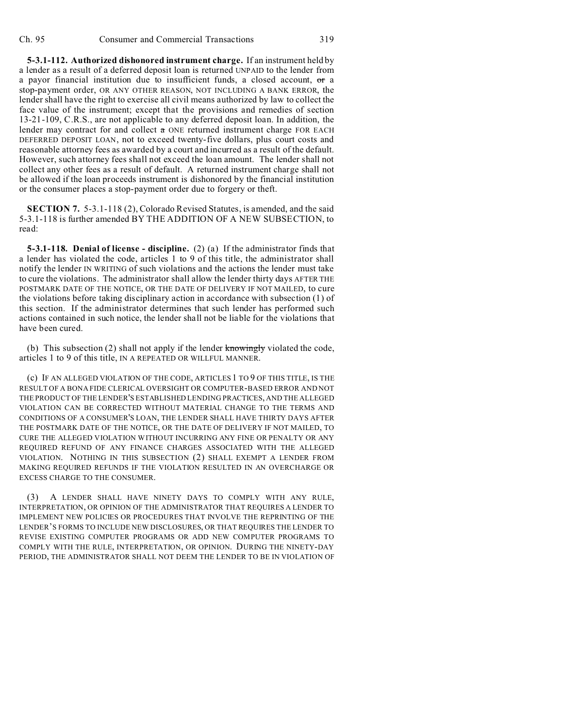**5-3.1-112. Authorized dishonored instrument charge.** If an instrument held by a lender as a result of a deferred deposit loan is returned UNPAID to the lender from a payor financial institution due to insufficient funds, a closed account, or a stop-payment order, OR ANY OTHER REASON, NOT INCLUDING A BANK ERROR, the lender shall have the right to exercise all civil means authorized by law to collect the face value of the instrument; except that the provisions and remedies of section 13-21-109, C.R.S., are not applicable to any deferred deposit loan. In addition, the lender may contract for and collect  $\alpha$  ONE returned instrument charge FOR EACH DEFERRED DEPOSIT LOAN, not to exceed twenty-five dollars, plus court costs and reasonable attorney fees as awarded by a court and incurred as a result of the default. However, such attorney fees shall not exceed the loan amount. The lender shall not collect any other fees as a result of default. A returned instrument charge shall not be allowed if the loan proceeds instrument is dishonored by the financial institution or the consumer places a stop-payment order due to forgery or theft.

**SECTION 7.** 5-3.1-118 (2), Colorado Revised Statutes, is amended, and the said 5-3.1-118 is further amended BY THE ADDITION OF A NEW SUBSECTION, to read:

**5-3.1-118. Denial of license - discipline.** (2) (a) If the administrator finds that a lender has violated the code, articles 1 to 9 of this title, the administrator shall notify the lender IN WRITING of such violations and the actions the lender must take to cure the violations. The administrator shall allow the lender thirty days AFTER THE POSTMARK DATE OF THE NOTICE, OR THE DATE OF DELIVERY IF NOT MAILED, to cure the violations before taking disciplinary action in accordance with subsection (1) of this section. If the administrator determines that such lender has performed such actions contained in such notice, the lender shall not be liable for the violations that have been cured.

(b) This subsection (2) shall not apply if the lender  $k$ nowingly violated the code, articles 1 to 9 of this title, IN A REPEATED OR WILLFUL MANNER.

(c) IF AN ALLEGED VIOLATION OF THE CODE, ARTICLES 1 TO 9 OF THIS TITLE, IS THE RESULT OF A BONA FIDE CLERICAL OVERSIGHT OR COMPUTER-BASED ERROR AND NOT THE PRODUCT OF THE LENDER'S ESTABLISHED LENDING PRACTICES, AND THE ALLEGED VIOLATION CAN BE CORRECTED WITHOUT MATERIAL CHANGE TO THE TERMS AND CONDITIONS OF A CONSUMER'S LOAN, THE LENDER SHALL HAVE THIRTY DAYS AFTER THE POSTMARK DATE OF THE NOTICE, OR THE DATE OF DELIVERY IF NOT MAILED, TO CURE THE ALLEGED VIOLATION WITHOUT INCURRING ANY FINE OR PENALTY OR ANY REQUIRED REFUND OF ANY FINANCE CHARGES ASSOCIATED WITH THE ALLEGED VIOLATION. NOTHING IN THIS SUBSECTION (2) SHALL EXEMPT A LENDER FROM MAKING REQUIRED REFUNDS IF THE VIOLATION RESULTED IN AN OVERCHARGE OR EXCESS CHARGE TO THE CONSUMER.

A LENDER SHALL HAVE NINETY DAYS TO COMPLY WITH ANY RULE, INTERPRETATION, OR OPINION OF THE ADMINISTRATOR THAT REQUIRES A LENDER TO IMPLEMENT NEW POLICIES OR PROCEDURES THAT INVOLVE THE REPRINTING OF THE LENDER'S FORMS TO INCLUDE NEW DISCLOSURES, OR THAT REQUIRES THE LENDER TO REVISE EXISTING COMPUTER PROGRAMS OR ADD NEW COMPUTER PROGRAMS TO COMPLY WITH THE RULE, INTERPRETATION, OR OPINION. DURING THE NINETY-DAY PERIOD, THE ADMINISTRATOR SHALL NOT DEEM THE LENDER TO BE IN VIOLATION OF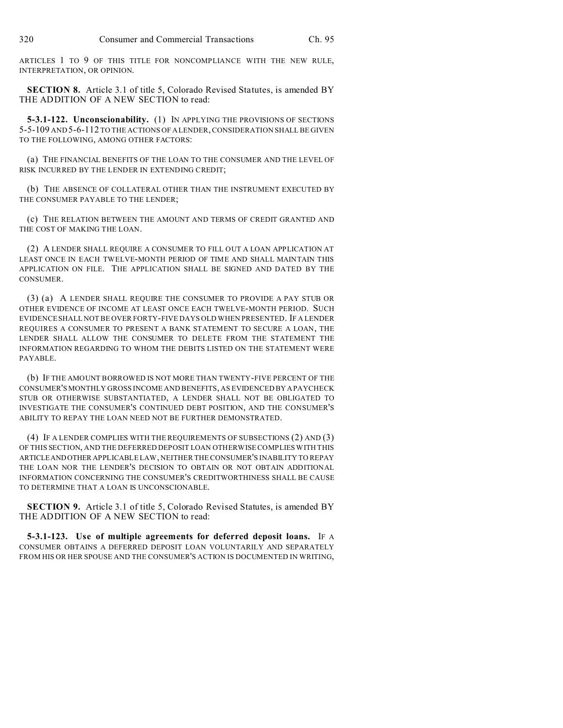ARTICLES 1 TO 9 OF THIS TITLE FOR NONCOMPLIANCE WITH THE NEW RULE, INTERPRETATION, OR OPINION.

**SECTION 8.** Article 3.1 of title 5, Colorado Revised Statutes, is amended BY THE ADDITION OF A NEW SECTION to read:

**5-3.1-122. Unconscionability.** (1) IN APPLYING THE PROVISIONS OF SECTIONS 5-5-109 AND 5-6-112 TO THE ACTIONS OF A LENDER, CONSIDERATION SHALL BE GIVEN TO THE FOLLOWING, AMONG OTHER FACTORS:

(a) THE FINANCIAL BENEFITS OF THE LOAN TO THE CONSUMER AND THE LEVEL OF RISK INCURRED BY THE LENDER IN EXTENDING CREDIT;

(b) THE ABSENCE OF COLLATERAL OTHER THAN THE INSTRUMENT EXECUTED BY THE CONSUMER PAYABLE TO THE LENDER;

(c) THE RELATION BETWEEN THE AMOUNT AND TERMS OF CREDIT GRANTED AND THE COST OF MAKING THE LOAN.

(2) A LENDER SHALL REQUIRE A CONSUMER TO FILL OUT A LOAN APPLICATION AT LEAST ONCE IN EACH TWELVE-MONTH PERIOD OF TIME AND SHALL MAINTAIN THIS APPLICATION ON FILE. THE APPLICATION SHALL BE SIGNED AND DATED BY THE CONSUMER.

(3) (a) A LENDER SHALL REQUIRE THE CONSUMER TO PROVIDE A PAY STUB OR OTHER EVIDENCE OF INCOME AT LEAST ONCE EACH TWELVE-MONTH PERIOD. SUCH EVIDENCE SHALL NOT BE OVER FORTY-FIVE DAYS OLD WHEN PRESENTED. IF A LENDER REQUIRES A CONSUMER TO PRESENT A BANK STATEMENT TO SECURE A LOAN, THE LENDER SHALL ALLOW THE CONSUMER TO DELETE FROM THE STATEMENT THE INFORMATION REGARDING TO WHOM THE DEBITS LISTED ON THE STATEMENT WERE PAYABLE.

(b) IF THE AMOUNT BORROWED IS NOT MORE THAN TWENTY-FIVE PERCENT OF THE CONSUMER'S MONTHLY GROSS INCOME AND BENEFITS, AS EVIDENCED BY A PAYCHECK STUB OR OTHERWISE SUBSTANTIATED, A LENDER SHALL NOT BE OBLIGATED TO INVESTIGATE THE CONSUMER'S CONTINUED DEBT POSITION, AND THE CONSUMER'S ABILITY TO REPAY THE LOAN NEED NOT BE FURTHER DEMONSTRATED.

(4) IF A LENDER COMPLIES WITH THE REQUIREMENTS OF SUBSECTIONS (2) AND (3) OF THIS SECTION, AND THE DEFERRED DEPOSIT LOAN OTHERWISE COMPLIES WITH THIS ARTICLEANDOTHER APPLICABLE LAW, NEITHER THE CONSUMER'S INABILITY TO REPAY THE LOAN NOR THE LENDER'S DECISION TO OBTAIN OR NOT OBTAIN ADDITIONAL INFORMATION CONCERNING THE CONSUMER'S CREDITWORTHINESS SHALL BE CAUSE TO DETERMINE THAT A LOAN IS UNCONSCIONABLE.

**SECTION 9.** Article 3.1 of title 5, Colorado Revised Statutes, is amended BY THE ADDITION OF A NEW SECTION to read:

**5-3.1-123. Use of multiple agreements for deferred deposit loans.** IF A CONSUMER OBTAINS A DEFERRED DEPOSIT LOAN VOLUNTARILY AND SEPARATELY FROM HIS OR HER SPOUSE AND THE CONSUMER'S ACTION IS DOCUMENTED IN WRITING,